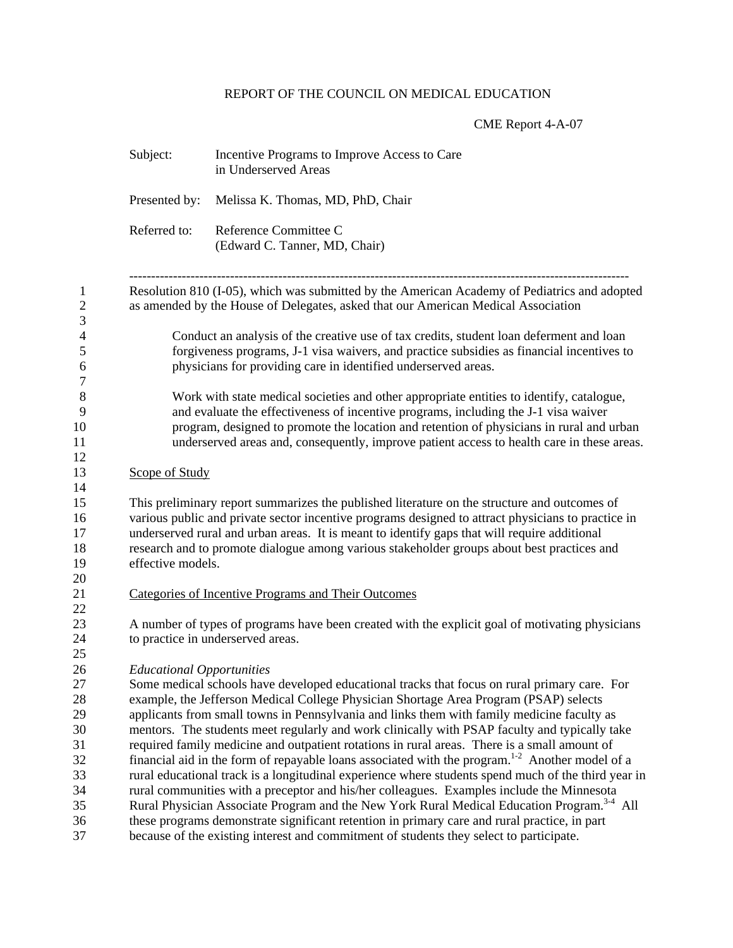## REPORT OF THE COUNCIL ON MEDICAL EDUCATION

## CME Report 4-A-07

| Subject:                         | Incentive Programs to Improve Access to Care<br>in Underserved Areas                                                                                                                                                                                                                                                                                                                                                                                                                                                                                                                                                                                                                                                                                                                                                                                                                                                                                                                                              |  |
|----------------------------------|-------------------------------------------------------------------------------------------------------------------------------------------------------------------------------------------------------------------------------------------------------------------------------------------------------------------------------------------------------------------------------------------------------------------------------------------------------------------------------------------------------------------------------------------------------------------------------------------------------------------------------------------------------------------------------------------------------------------------------------------------------------------------------------------------------------------------------------------------------------------------------------------------------------------------------------------------------------------------------------------------------------------|--|
| Presented by:                    | Melissa K. Thomas, MD, PhD, Chair                                                                                                                                                                                                                                                                                                                                                                                                                                                                                                                                                                                                                                                                                                                                                                                                                                                                                                                                                                                 |  |
| Referred to:                     | Reference Committee C<br>(Edward C. Tanner, MD, Chair)                                                                                                                                                                                                                                                                                                                                                                                                                                                                                                                                                                                                                                                                                                                                                                                                                                                                                                                                                            |  |
|                                  | Resolution 810 (I-05), which was submitted by the American Academy of Pediatrics and adopted<br>as amended by the House of Delegates, asked that our American Medical Association                                                                                                                                                                                                                                                                                                                                                                                                                                                                                                                                                                                                                                                                                                                                                                                                                                 |  |
|                                  | Conduct an analysis of the creative use of tax credits, student loan deferment and loan<br>forgiveness programs, J-1 visa waivers, and practice subsidies as financial incentives to<br>physicians for providing care in identified underserved areas.                                                                                                                                                                                                                                                                                                                                                                                                                                                                                                                                                                                                                                                                                                                                                            |  |
|                                  | Work with state medical societies and other appropriate entities to identify, catalogue,<br>and evaluate the effectiveness of incentive programs, including the J-1 visa waiver<br>program, designed to promote the location and retention of physicians in rural and urban<br>underserved areas and, consequently, improve patient access to health care in these areas.                                                                                                                                                                                                                                                                                                                                                                                                                                                                                                                                                                                                                                         |  |
| Scope of Study                   |                                                                                                                                                                                                                                                                                                                                                                                                                                                                                                                                                                                                                                                                                                                                                                                                                                                                                                                                                                                                                   |  |
| effective models.                | This preliminary report summarizes the published literature on the structure and outcomes of<br>various public and private sector incentive programs designed to attract physicians to practice in<br>underserved rural and urban areas. It is meant to identify gaps that will require additional<br>research and to promote dialogue among various stakeholder groups about best practices and                                                                                                                                                                                                                                                                                                                                                                                                                                                                                                                                                                                                                  |  |
|                                  | Categories of Incentive Programs and Their Outcomes                                                                                                                                                                                                                                                                                                                                                                                                                                                                                                                                                                                                                                                                                                                                                                                                                                                                                                                                                               |  |
|                                  | A number of types of programs have been created with the explicit goal of motivating physicians<br>to practice in underserved areas.                                                                                                                                                                                                                                                                                                                                                                                                                                                                                                                                                                                                                                                                                                                                                                                                                                                                              |  |
| <b>Educational Opportunities</b> | Some medical schools have developed educational tracks that focus on rural primary care. For<br>example, the Jefferson Medical College Physician Shortage Area Program (PSAP) selects<br>applicants from small towns in Pennsylvania and links them with family medicine faculty as<br>mentors. The students meet regularly and work clinically with PSAP faculty and typically take<br>required family medicine and outpatient rotations in rural areas. There is a small amount of<br>financial aid in the form of repayable loans associated with the program. <sup>1-2</sup> Another model of a<br>rural educational track is a longitudinal experience where students spend much of the third year in<br>rural communities with a preceptor and his/her colleagues. Examples include the Minnesota<br>Rural Physician Associate Program and the New York Rural Medical Education Program. <sup>3-4</sup> All<br>these programs demonstrate significant retention in primary care and rural practice, in part |  |
|                                  | because of the existing interest and commitment of students they select to participate.                                                                                                                                                                                                                                                                                                                                                                                                                                                                                                                                                                                                                                                                                                                                                                                                                                                                                                                           |  |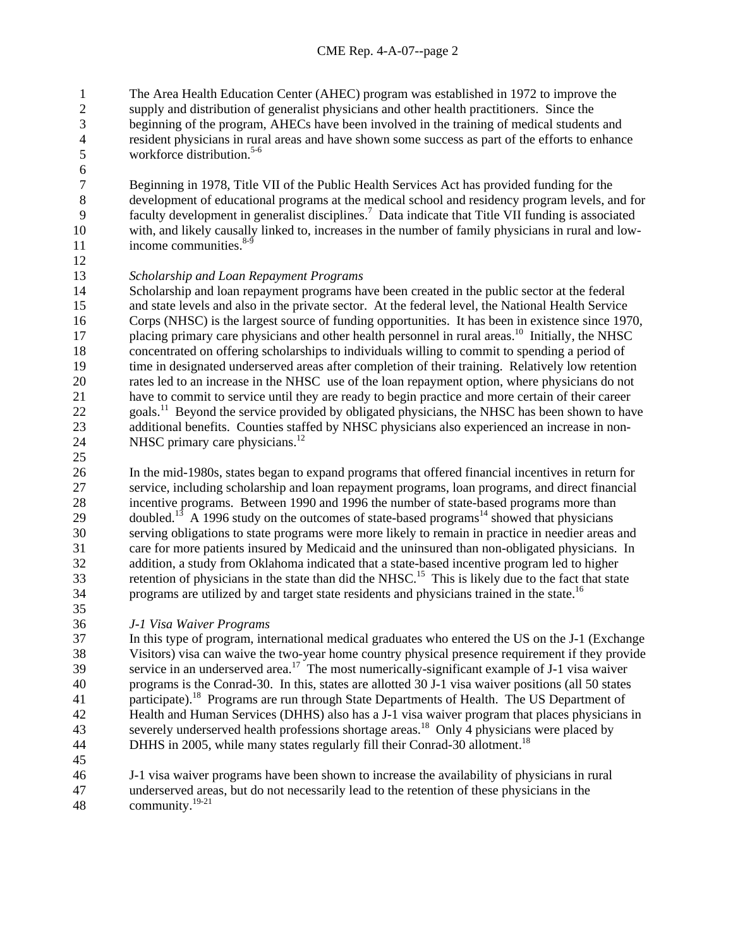The Area Health Education Center (AHEC) program was established in 1972 to improve the supply and distribution of generalist physicians and other health practitioners. Since the beginning of the program, AHECs have been involved in the training of medical students and resident physicians in rural areas and have shown some success as part of the efforts to enhance workforce distribution. 5-6 1 2 3 4 5

7 8 9 10 11 Beginning in 1978, Title VII of the Public Health Services Act has provided funding for the development of educational programs at the medical school and residency program levels, and for faculty development in generalist disciplines.<sup>7</sup> Data indicate that Title VII funding is associated with, and likely causally linked to, increases in the number of family physicians in rural and lowincome communities. $8-9$ 

12

6

## 13 *Scholarship and Loan Repayment Programs*

14 15 16 17 18 19 20 21 22 23 24 Scholarship and loan repayment programs have been created in the public sector at the federal and state levels and also in the private sector. At the federal level, the National Health Service Corps (NHSC) is the largest source of funding opportunities. It has been in existence since 1970, placing primary care physicians and other health personnel in rural areas.<sup>10</sup> Initially, the NHSC concentrated on offering scholarships to individuals willing to commit to spending a period of time in designated underserved areas after completion of their training. Relatively low retention rates led to an increase in the NHSC use of the loan repayment option, where physicians do not have to commit to service until they are ready to begin practice and more certain of their career goals.11 Beyond the service provided by obligated physicians, the NHSC has been shown to have additional benefits. Counties staffed by NHSC physicians also experienced an increase in non-NHSC primary care physicians.<sup>12</sup>

25

26 27 28 29 30 31 32 33 34 35 In the mid-1980s, states began to expand programs that offered financial incentives in return for service, including scholarship and loan repayment programs, loan programs, and direct financial incentive programs. Between 1990 and 1996 the number of state-based programs more than doubled.<sup>13</sup> A 1996 study on the outcomes of state-based programs<sup>14</sup> showed that physicians serving obligations to state programs were more likely to remain in practice in needier areas and care for more patients insured by Medicaid and the uninsured than non-obligated physicians. In addition, a study from Oklahoma indicated that a state-based incentive program led to higher retention of physicians in the state than did the NHSC.<sup>15</sup> This is likely due to the fact that state programs are utilized by and target state residents and physicians trained in the state.<sup>16</sup>

36 *J-1 Visa Waiver Programs* 

37 38 39 40 41 42 43 44 In this type of program, international medical graduates who entered the US on the J-1 (Exchange Visitors) visa can waive the two-year home country physical presence requirement if they provide service in an underserved area.<sup>17</sup> The most numerically-significant example of J-1 visa waiver programs is the Conrad-30. In this, states are allotted 30 J-1 visa waiver positions (all 50 states participate).<sup>18</sup> Programs are run through State Departments of Health. The US Department of Health and Human Services (DHHS) also has a J-1 visa waiver program that places physicians in severely underserved health professions shortage areas.<sup>18</sup> Only 4 physicians were placed by DHHS in 2005, while many states regularly fill their Conrad-30 allotment.<sup>18</sup>

45

46 47 48 J-1 visa waiver programs have been shown to increase the availability of physicians in rural underserved areas, but do not necessarily lead to the retention of these physicians in the community.19-21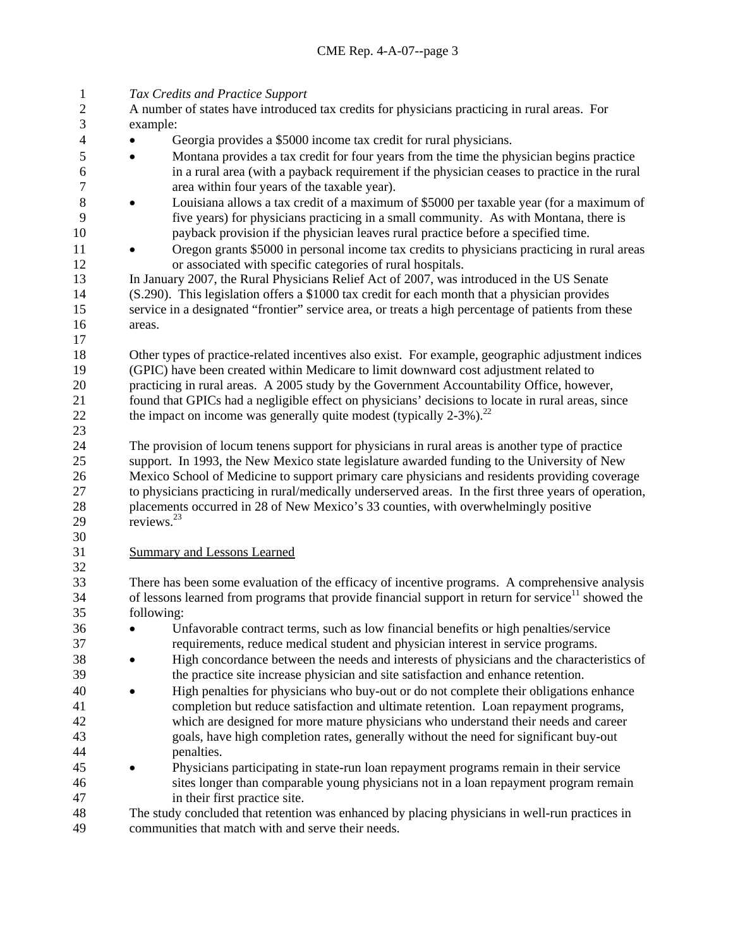1 *Tax Credits and Practice Support*   $\mathcal{L}$ 3 4 5 6 7 8 9 10 11 12 13 14 15 16 17 18 19 20 21 22 23 24 25 26 27 28 29 30 A number of states have introduced tax credits for physicians practicing in rural areas. For example: • Georgia provides a \$5000 income tax credit for rural physicians. • Montana provides a tax credit for four years from the time the physician begins practice in a rural area (with a payback requirement if the physician ceases to practice in the rural area within four years of the taxable year). • Louisiana allows a tax credit of a maximum of \$5000 per taxable year (for a maximum of five years) for physicians practicing in a small community. As with Montana, there is payback provision if the physician leaves rural practice before a specified time. • Oregon grants \$5000 in personal income tax credits to physicians practicing in rural areas or associated with specific categories of rural hospitals. In January 2007, the Rural Physicians Relief Act of 2007, was introduced in the US Senate (S.290). This legislation offers a \$1000 tax credit for each month that a physician provides service in a designated "frontier" service area, or treats a high percentage of patients from these areas. Other types of practice-related incentives also exist. For example, geographic adjustment indices (GPIC) have been created within Medicare to limit downward cost adjustment related to practicing in rural areas. A 2005 study by the Government Accountability Office, however, found that GPICs had a negligible effect on physicians' decisions to locate in rural areas, since the impact on income was generally quite modest (typically  $2-3\%$ ).<sup>22</sup> The provision of locum tenens support for physicians in rural areas is another type of practice support. In 1993, the New Mexico state legislature awarded funding to the University of New Mexico School of Medicine to support primary care physicians and residents providing coverage to physicians practicing in rural/medically underserved areas. In the first three years of operation, placements occurred in 28 of New Mexico's 33 counties, with overwhelmingly positive reviews.<sup>23</sup> 31 Summary and Lessons Learned 32 33 34 35 36 37 38 39 40 41 42 43 44 45 46 47 48 49 There has been some evaluation of the efficacy of incentive programs. A comprehensive analysis of lessons learned from programs that provide financial support in return for service $1$  showed the following: • Unfavorable contract terms, such as low financial benefits or high penalties/service requirements, reduce medical student and physician interest in service programs. • High concordance between the needs and interests of physicians and the characteristics of the practice site increase physician and site satisfaction and enhance retention. • High penalties for physicians who buy-out or do not complete their obligations enhance completion but reduce satisfaction and ultimate retention. Loan repayment programs, which are designed for more mature physicians who understand their needs and career goals, have high completion rates, generally without the need for significant buy-out penalties. • Physicians participating in state-run loan repayment programs remain in their service sites longer than comparable young physicians not in a loan repayment program remain in their first practice site. The study concluded that retention was enhanced by placing physicians in well-run practices in communities that match with and serve their needs.